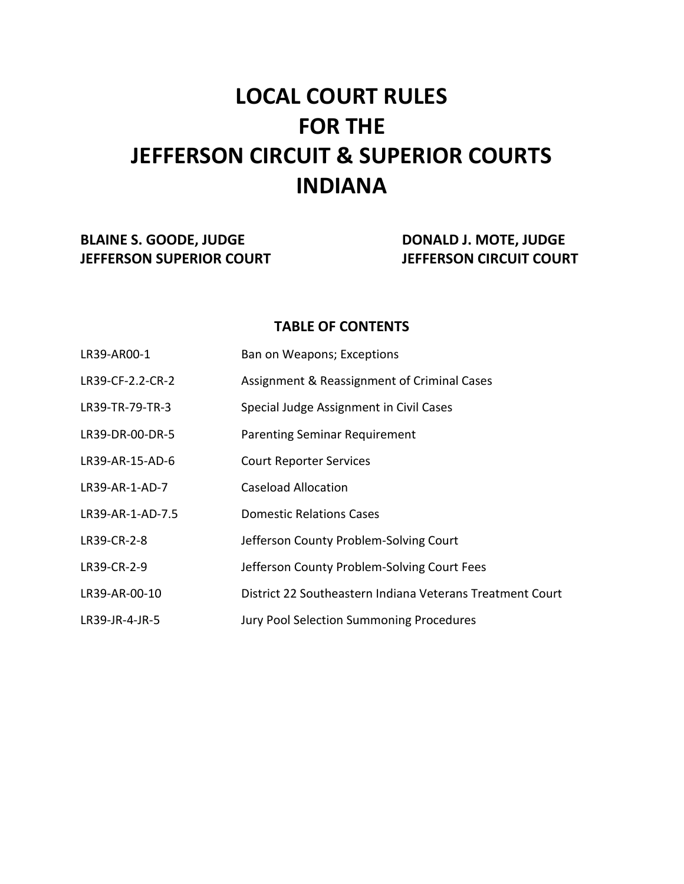# **LOCAL COURT RULES FOR THE JEFFERSON CIRCUIT & SUPERIOR COURTS INDIANA**

# **BLAINE S. GOODE, JUDGE CO. DONALD J. MOTE, JUDGE JEFFERSON SUPERIOR COURT JEFFERSON CIRCUIT COURT**

## **TABLE OF CONTENTS**

| LR39-AR00-1      | Ban on Weapons; Exceptions                                |
|------------------|-----------------------------------------------------------|
| LR39-CF-2.2-CR-2 | Assignment & Reassignment of Criminal Cases               |
| LR39-TR-79-TR-3  | Special Judge Assignment in Civil Cases                   |
| LR39-DR-00-DR-5  | <b>Parenting Seminar Requirement</b>                      |
| LR39-AR-15-AD-6  | <b>Court Reporter Services</b>                            |
| LR39-AR-1-AD-7   | <b>Caseload Allocation</b>                                |
| LR39-AR-1-AD-7.5 | <b>Domestic Relations Cases</b>                           |
| LR39-CR-2-8      | Jefferson County Problem-Solving Court                    |
| LR39-CR-2-9      | Jefferson County Problem-Solving Court Fees               |
| LR39-AR-00-10    | District 22 Southeastern Indiana Veterans Treatment Court |
| LR39-JR-4-JR-5   | Jury Pool Selection Summoning Procedures                  |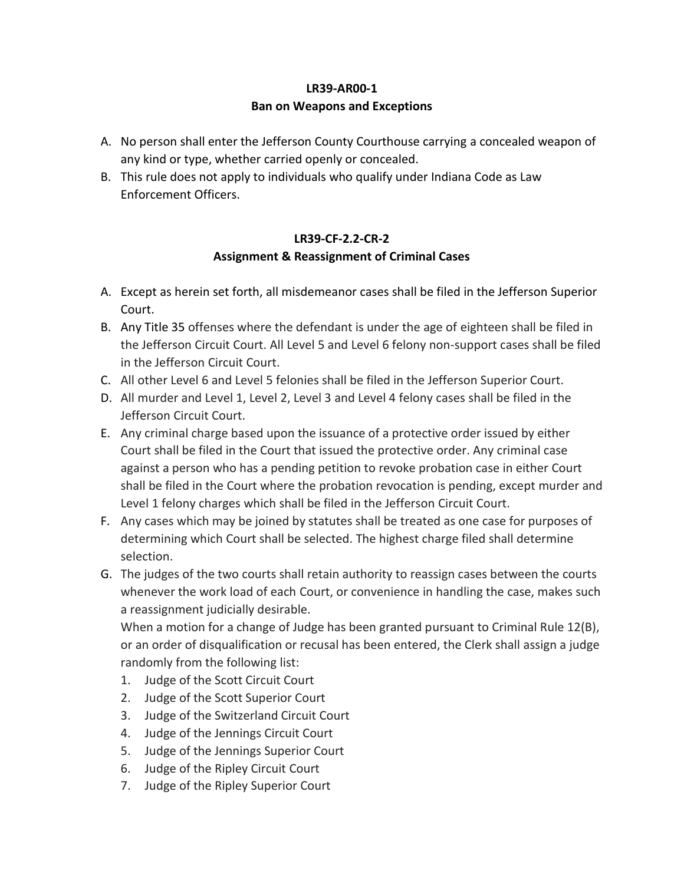## **LR39-AR00-1 Ban on Weapons and Exceptions**

- A. No person shall enter the Jefferson County Courthouse carrying a concealed weapon of any kind or type, whether carried openly or concealed.
- B. This rule does not apply to individuals who qualify under Indiana Code as Law Enforcement Officers.

## **LR39-CF-2.2-CR-2 Assignment & Reassignment of Criminal Cases**

- A. Except as herein set forth, all misdemeanor cases shall be filed in the Jefferson Superior Court.
- B. Any Title 35 offenses where the defendant is under the age of eighteen shall be filed in the Jefferson Circuit Court. All Level 5 and Level 6 felony non-support cases shall be filed in the Jefferson Circuit Court.
- C. All other Level 6 and Level 5 felonies shall be filed in the Jefferson Superior Court.
- D. All murder and Level 1, Level 2, Level 3 and Level 4 felony cases shall be filed in the Jefferson Circuit Court.
- E. Any criminal charge based upon the issuance of a protective order issued by either Court shall be filed in the Court that issued the protective order. Any criminal case against a person who has a pending petition to revoke probation case in either Court shall be filed in the Court where the probation revocation is pending, except murder and Level 1 felony charges which shall be filed in the Jefferson Circuit Court.
- F. Any cases which may be joined by statutes shall be treated as one case for purposes of determining which Court shall be selected. The highest charge filed shall determine selection.
- G. The judges of the two courts shall retain authority to reassign cases between the courts whenever the work load of each Court, or convenience in handling the case, makes such a reassignment judicially desirable.

When a motion for a change of Judge has been granted pursuant to Criminal Rule 12(B), or an order of disqualification or recusal has been entered, the Clerk shall assign a judge randomly from the following list:

- 1. Judge of the Scott Circuit Court
- 2. Judge of the Scott Superior Court
- 3. Judge of the Switzerland Circuit Court
- 4. Judge of the Jennings Circuit Court
- 5. Judge of the Jennings Superior Court
- 6. Judge of the Ripley Circuit Court
- 7. Judge of the Ripley Superior Court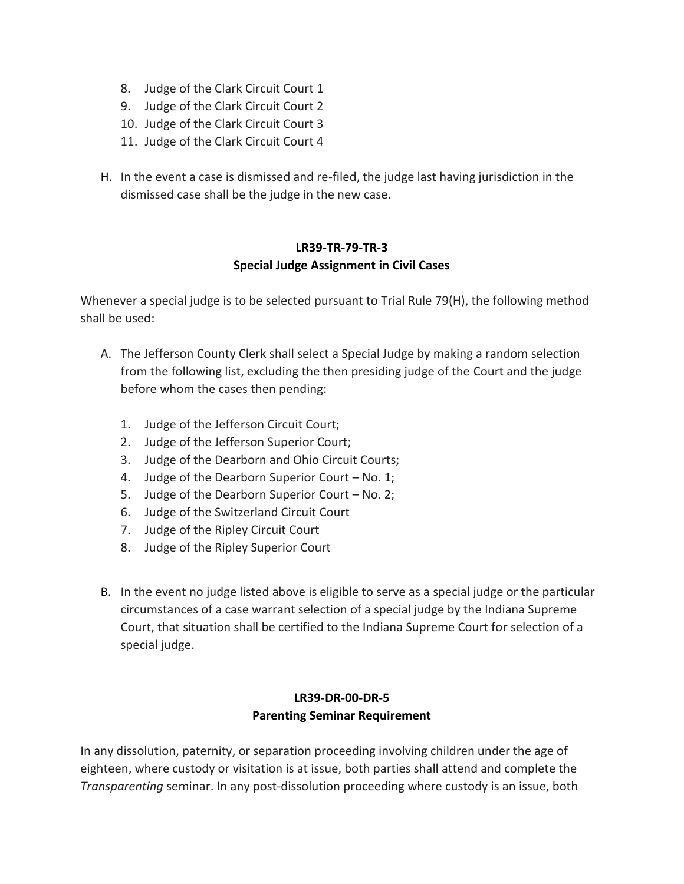- 8. Judge of the Clark Circuit Court 1
- 9. Judge of the Clark Circuit Court 2
- 10. Judge of the Clark Circuit Court 3
- 11. Judge of the Clark Circuit Court 4
- H. In the event a case is dismissed and re-filed, the judge last having jurisdiction in the dismissed case shall be the judge in the new case.

#### **LR39-TR-79-TR-3 Special Judge Assignment in Civil Cases**

Whenever a special judge is to be selected pursuant to Trial Rule 79(H), the following method shall be used:

- A. The Jefferson County Clerk shall select a Special Judge by making a random selection from the following list, excluding the then presiding judge of the Court and the judge before whom the cases then pending:
	- 1. Judge of the Jefferson Circuit Court;
	- 2. Judge of the Jefferson Superior Court;
	- 3. Judge of the Dearborn and Ohio Circuit Courts;
	- 4. Judge of the Dearborn Superior Court No. 1;
	- 5. Judge of the Dearborn Superior Court No. 2;
	- 6. Judge of the Switzerland Circuit Court
	- 7. Judge of the Ripley Circuit Court
	- 8. Judge of the Ripley Superior Court
- B. In the event no judge listed above is eligible to serve as a special judge or the particular circumstances of a case warrant selection of a special judge by the Indiana Supreme Court, that situation shall be certified to the Indiana Supreme Court for selection of a special judge.

#### **LR39-DR-00-DR-5 Parenting Seminar Requirement**

In any dissolution, paternity, or separation proceeding involving children under the age of eighteen, where custody or visitation is at issue, both parties shall attend and complete the *Transparenting* seminar. In any post-dissolution proceeding where custody is an issue, both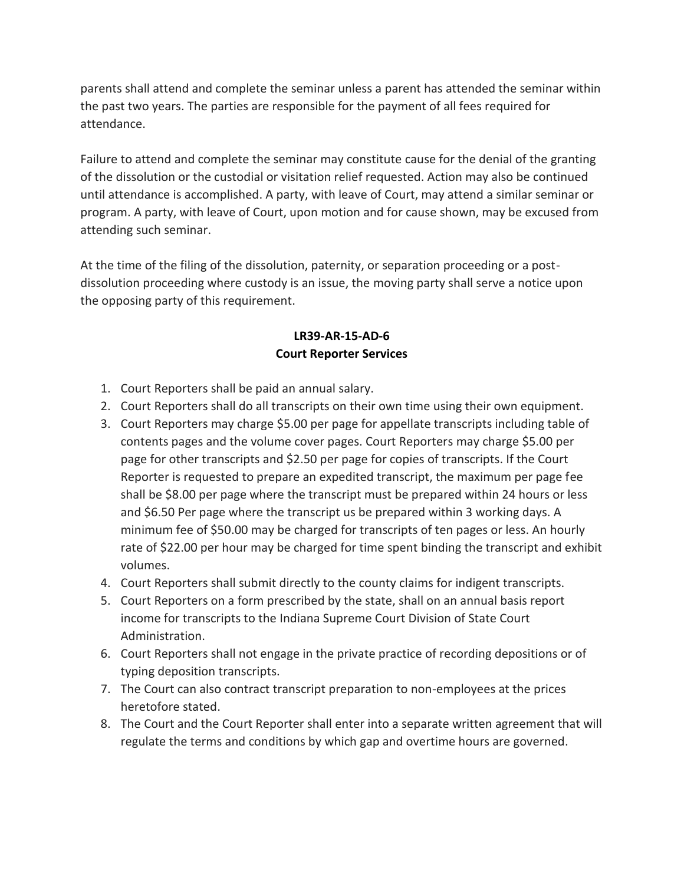parents shall attend and complete the seminar unless a parent has attended the seminar within the past two years. The parties are responsible for the payment of all fees required for attendance.

Failure to attend and complete the seminar may constitute cause for the denial of the granting of the dissolution or the custodial or visitation relief requested. Action may also be continued until attendance is accomplished. A party, with leave of Court, may attend a similar seminar or program. A party, with leave of Court, upon motion and for cause shown, may be excused from attending such seminar.

At the time of the filing of the dissolution, paternity, or separation proceeding or a postdissolution proceeding where custody is an issue, the moving party shall serve a notice upon the opposing party of this requirement.

#### **LR39-AR-15-AD-6 Court Reporter Services**

- 1. Court Reporters shall be paid an annual salary.
- 2. Court Reporters shall do all transcripts on their own time using their own equipment.
- 3. Court Reporters may charge \$5.00 per page for appellate transcripts including table of contents pages and the volume cover pages. Court Reporters may charge \$5.00 per page for other transcripts and \$2.50 per page for copies of transcripts. If the Court Reporter is requested to prepare an expedited transcript, the maximum per page fee shall be \$8.00 per page where the transcript must be prepared within 24 hours or less and \$6.50 Per page where the transcript us be prepared within 3 working days. A minimum fee of \$50.00 may be charged for transcripts of ten pages or less. An hourly rate of \$22.00 per hour may be charged for time spent binding the transcript and exhibit volumes.
- 4. Court Reporters shall submit directly to the county claims for indigent transcripts.
- 5. Court Reporters on a form prescribed by the state, shall on an annual basis report income for transcripts to the Indiana Supreme Court Division of State Court Administration.
- 6. Court Reporters shall not engage in the private practice of recording depositions or of typing deposition transcripts.
- 7. The Court can also contract transcript preparation to non-employees at the prices heretofore stated.
- 8. The Court and the Court Reporter shall enter into a separate written agreement that will regulate the terms and conditions by which gap and overtime hours are governed.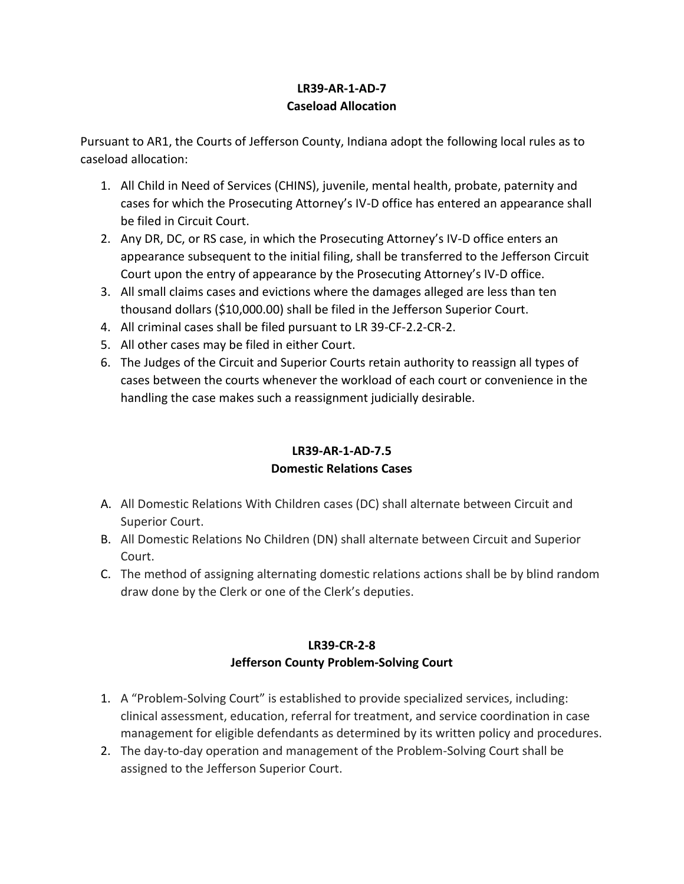## **LR39-AR-1-AD-7 Caseload Allocation**

Pursuant to AR1, the Courts of Jefferson County, Indiana adopt the following local rules as to caseload allocation:

- 1. All Child in Need of Services (CHINS), juvenile, mental health, probate, paternity and cases for which the Prosecuting Attorney's IV-D office has entered an appearance shall be filed in Circuit Court.
- 2. Any DR, DC, or RS case, in which the Prosecuting Attorney's IV-D office enters an appearance subsequent to the initial filing, shall be transferred to the Jefferson Circuit Court upon the entry of appearance by the Prosecuting Attorney's IV-D office.
- 3. All small claims cases and evictions where the damages alleged are less than ten thousand dollars (\$10,000.00) shall be filed in the Jefferson Superior Court.
- 4. All criminal cases shall be filed pursuant to LR 39-CF-2.2-CR-2.
- 5. All other cases may be filed in either Court.
- 6. The Judges of the Circuit and Superior Courts retain authority to reassign all types of cases between the courts whenever the workload of each court or convenience in the handling the case makes such a reassignment judicially desirable.

## **LR39-AR-1-AD-7.5 Domestic Relations Cases**

- A. All Domestic Relations With Children cases (DC) shall alternate between Circuit and Superior Court.
- B. All Domestic Relations No Children (DN) shall alternate between Circuit and Superior Court.
- C. The method of assigning alternating domestic relations actions shall be by blind random draw done by the Clerk or one of the Clerk's deputies.

# **LR39-CR-2-8 Jefferson County Problem-Solving Court**

- 1. A "Problem-Solving Court" is established to provide specialized services, including: clinical assessment, education, referral for treatment, and service coordination in case management for eligible defendants as determined by its written policy and procedures.
- 2. The day-to-day operation and management of the Problem-Solving Court shall be assigned to the Jefferson Superior Court.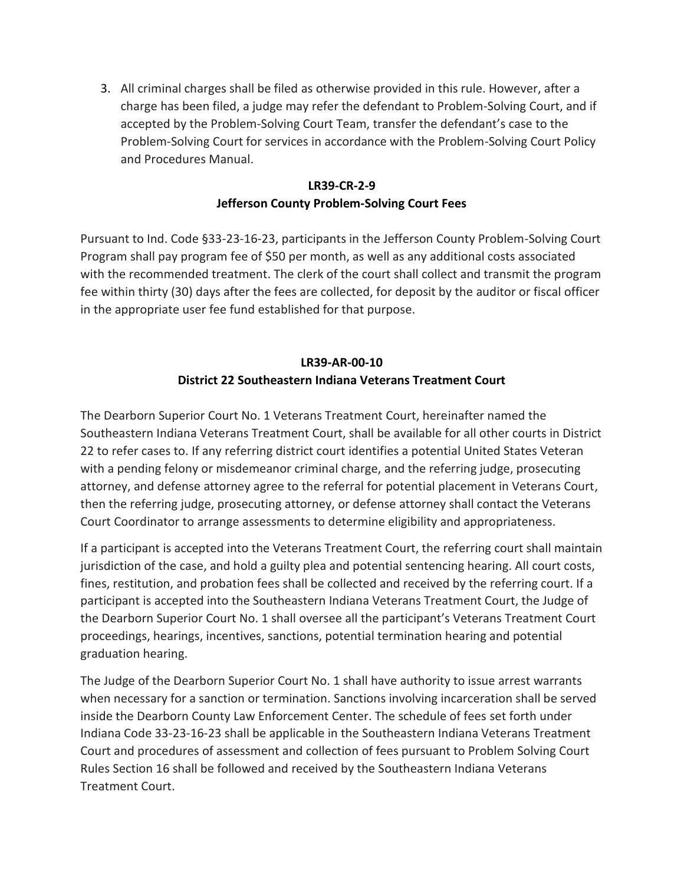3. All criminal charges shall be filed as otherwise provided in this rule. However, after a charge has been filed, a judge may refer the defendant to Problem-Solving Court, and if accepted by the Problem-Solving Court Team, transfer the defendant's case to the Problem-Solving Court for services in accordance with the Problem-Solving Court Policy and Procedures Manual.

## **LR39-CR-2-9 Jefferson County Problem-Solving Court Fees**

Pursuant to Ind. Code §33-23-16-23, participants in the Jefferson County Problem-Solving Court Program shall pay program fee of \$50 per month, as well as any additional costs associated with the recommended treatment. The clerk of the court shall collect and transmit the program fee within thirty (30) days after the fees are collected, for deposit by the auditor or fiscal officer in the appropriate user fee fund established for that purpose.

## **LR39-AR-00-10 District 22 Southeastern Indiana Veterans Treatment Court**

The Dearborn Superior Court No. 1 Veterans Treatment Court, hereinafter named the Southeastern Indiana Veterans Treatment Court, shall be available for all other courts in District 22 to refer cases to. If any referring district court identifies a potential United States Veteran with a pending felony or misdemeanor criminal charge, and the referring judge, prosecuting attorney, and defense attorney agree to the referral for potential placement in Veterans Court, then the referring judge, prosecuting attorney, or defense attorney shall contact the Veterans Court Coordinator to arrange assessments to determine eligibility and appropriateness.

If a participant is accepted into the Veterans Treatment Court, the referring court shall maintain jurisdiction of the case, and hold a guilty plea and potential sentencing hearing. All court costs, fines, restitution, and probation fees shall be collected and received by the referring court. If a participant is accepted into the Southeastern Indiana Veterans Treatment Court, the Judge of the Dearborn Superior Court No. 1 shall oversee all the participant's Veterans Treatment Court proceedings, hearings, incentives, sanctions, potential termination hearing and potential graduation hearing.

The Judge of the Dearborn Superior Court No. 1 shall have authority to issue arrest warrants when necessary for a sanction or termination. Sanctions involving incarceration shall be served inside the Dearborn County Law Enforcement Center. The schedule of fees set forth under Indiana Code 33-23-16-23 shall be applicable in the Southeastern Indiana Veterans Treatment Court and procedures of assessment and collection of fees pursuant to Problem Solving Court Rules Section 16 shall be followed and received by the Southeastern Indiana Veterans Treatment Court.